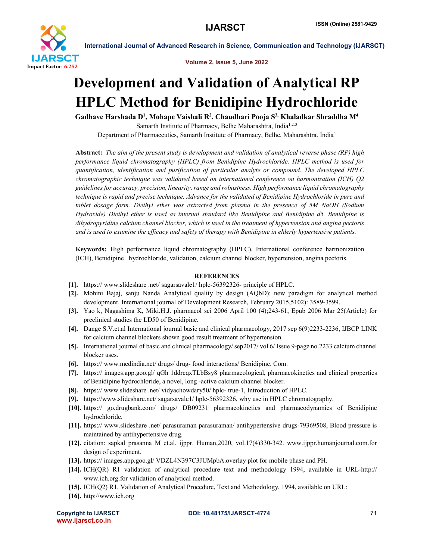

Volume 2, Issue 5, June 2022

International Journal of Advanced Research in Science, Communication and Technology (IJARSCT)

## Development and Validation of Analytical RP HPLC Method for Benidipine Hydrochloride

Gadhave Harshada D<sup>1</sup>, Mohape Vaishali R<sup>2</sup>, Chaudhari Pooja S<sup>3,</sup> Khaladkar Shraddha M<sup>4</sup> Samarth Institute of Pharmacy, Belhe Maharashtra, India<sup>1,2.3</sup>

Department of Pharmaceutics, Samarth Institute of Pharmacy, Belhe, Maharashtra. India4

Abstract: *The aim of the present study is development and validation of analytical reverse phase (RP) high performance liquid chromatography (HPLC) from Benidipine Hydrochloride. HPLC method is used for quantification, identification and purification of particular analyte or compound. The developed HPLC chromatographic technique was validated based on international conference on harmonization (ICH) Q2 guidelines for accuracy, precision, linearity, range and robustness. High performance liquid chromatography technique is rapid and precise technique. Advance for the validated of Benidipine Hydrochloride in pure and tablet dosage form. Diethyl ether was extracted from plasma in the presence of 5M NaOH (Sodium Hydroxide) Diethyl ether is used as internal standard like Benidipine and Benidipine d5. Benidipine is dihydropyridine calcium channel blocker, which is used in the treatment of hypertension and angina pectoris and is used to examine the efficacy and safety of therapy with Benidipine in elderly hypertensive patients.*

Keywords: High performance liquid chromatography (HPLC), International conference harmonization (ICH), Benidipine hydrochloride, validation, calcium channel blocker, hypertension, angina pectoris.

## **REFERENCES**

- [1]. https:// www.slideshare .net/ sagarsavale1/ hplc-56392326- principle of HPLC.
- [2]. Mohini Bajaj, sanju Nanda Analytical quality by design (AQbD): new paradigm for analytical method development. International journal of Development Research, February 2015,5102): 3589-3599.
- [3]. Yao k, Nagashima K, Miki.H.J. pharmacol sci 2006 April 100 (4);243-61, Epub 2006 Mar 25(Article) for preclinical studies the LD50 of Benidipine.
- [4]. Dange S.V.et.al International journal basic and clinical pharmacology, 2017 sep 6(9)2233-2236, IJBCP LINK for calcium channel blockers shown good result treatment of hypertension.
- [5]. International journal of basic and clinical pharmacology/ sep2017/ vol 6/ Issue 9-page no.2233 calcium channel blocker uses.
- [6]. https:// www.medindia.net/ drugs/ drug- food interactions/ Benidipine. Com.
- [7]. https:// images.app.goo.gl/ qGh 1ddrcqxTLbBsy8 pharmacological, pharmacokinetics and clinical properties of Benidipine hydrochloride, a novel, long -active calcium channel blocker.
- [8]. https:// www.slideshare .net/ vidyachowdary50/ hplc- true-1, Introduction of HPLC.
- [9]. https://www.slideshare.net/ sagarsavale1/ hplc-56392326, why use in HPLC chromatography.
- [10]. https:// go.drugbank.com/ drugs/ DB09231 pharmacokinetics and pharmacodynamics of Benidipine hydrochloride.
- [11]. https:// www.slideshare .net/ parasuraman parasuraman/ antihypertensive drugs-79369508, Blood pressure is maintained by antihypertensive drug.
- [12]. citation: sapkal prasanna M et.al. ijppr. Human,2020, vol.17(4)330-342. www.ijppr.humanjournal.com.for design of experiment.
- [13]. https:// images.app.goo.gl/ VDZL4N397C3JUMpbA.overlay plot for mobile phase and PH.
- [14]. ICH(QR) R1 validation of analytical procedure text and methodology 1994, available in URL-http:// www.ich.org.for validation of analytical method.
- [15]. ICH(Q2) R1, Validation of Analytical Procedure, Text and Methodology, 1994, available on URL:
- [16]. http://www.ich.org